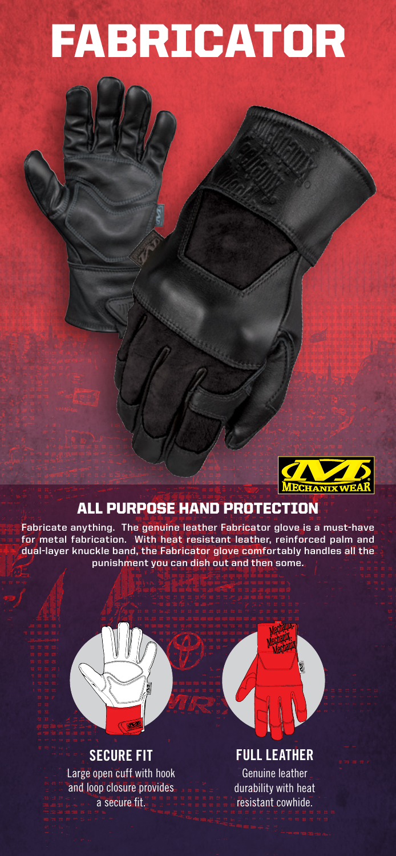# FABRICATOR



### ALL PURPOSE HAND PROTECTION

**Fabricate anything. The genuine leather Fabricator glove is a must-have for metal fabrication. With heat resistant leather, reinforced palm and dual-layer knuckle band, the Fabricator glove comfortably handles all the punishment you can dish out and then some.**



## **SECURE FIT**

Large open cuff with hook and loop closure provides a secure fit.



**FULL LEATHER** Genuine leather durability with heat

resistant cowhide.